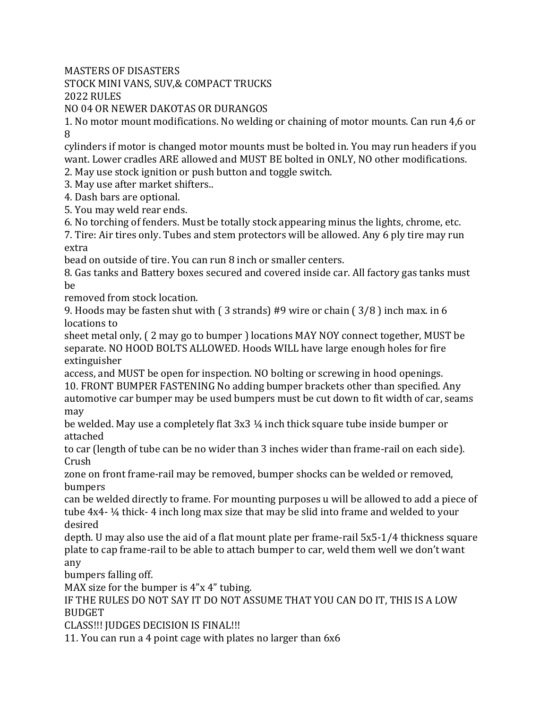MASTERS OF DISASTERS

STOCK MINI VANS, SUV,& COMPACT TRUCKS

2022 RULES

NO 04 OR NEWER DAKOTAS OR DURANGOS

1. No motor mount modifications. No welding or chaining of motor mounts. Can run 4,6 or 8

cylinders if motor is changed motor mounts must be bolted in. You may run headers if you want. Lower cradles ARE allowed and MUST BE bolted in ONLY, NO other modifications.

2. May use stock ignition or push button and toggle switch.

3. May use after market shifters..

4. Dash bars are optional.

5. You may weld rear ends.

6. No torching of fenders. Must be totally stock appearing minus the lights, chrome, etc.

7. Tire: Air tires only. Tubes and stem protectors will be allowed. Any 6 ply tire may run extra

bead on outside of tire. You can run 8 inch or smaller centers.

8. Gas tanks and Battery boxes secured and covered inside car. All factory gas tanks must be

removed from stock location.

9. Hoods may be fasten shut with ( 3 strands) #9 wire or chain ( 3/8 ) inch max. in 6 locations to

sheet metal only, ( 2 may go to bumper ) locations MAY NOY connect together, MUST be separate. NO HOOD BOLTS ALLOWED. Hoods WILL have large enough holes for fire extinguisher

access, and MUST be open for inspection. NO bolting or screwing in hood openings. 10. FRONT BUMPER FASTENING No adding bumper brackets other than specified. Any automotive car bumper may be used bumpers must be cut down to fit width of car, seams may

be welded. May use a completely flat 3x3 ¼ inch thick square tube inside bumper or attached

to car (length of tube can be no wider than 3 inches wider than frame-rail on each side). Crush

zone on front frame-rail may be removed, bumper shocks can be welded or removed, bumpers

can be welded directly to frame. For mounting purposes u will be allowed to add a piece of tube 4x4- ¼ thick- 4 inch long max size that may be slid into frame and welded to your desired

depth. U may also use the aid of a flat mount plate per frame-rail 5x5-1/4 thickness square plate to cap frame-rail to be able to attach bumper to car, weld them well we don't want any

bumpers falling off.

MAX size for the bumper is  $4''x 4''$  tubing.

IF THE RULES DO NOT SAY IT DO NOT ASSUME THAT YOU CAN DO IT, THIS IS A LOW **BUDGET** 

CLASS!!! JUDGES DECISION IS FINAL!!!

11. You can run a 4 point cage with plates no larger than 6x6